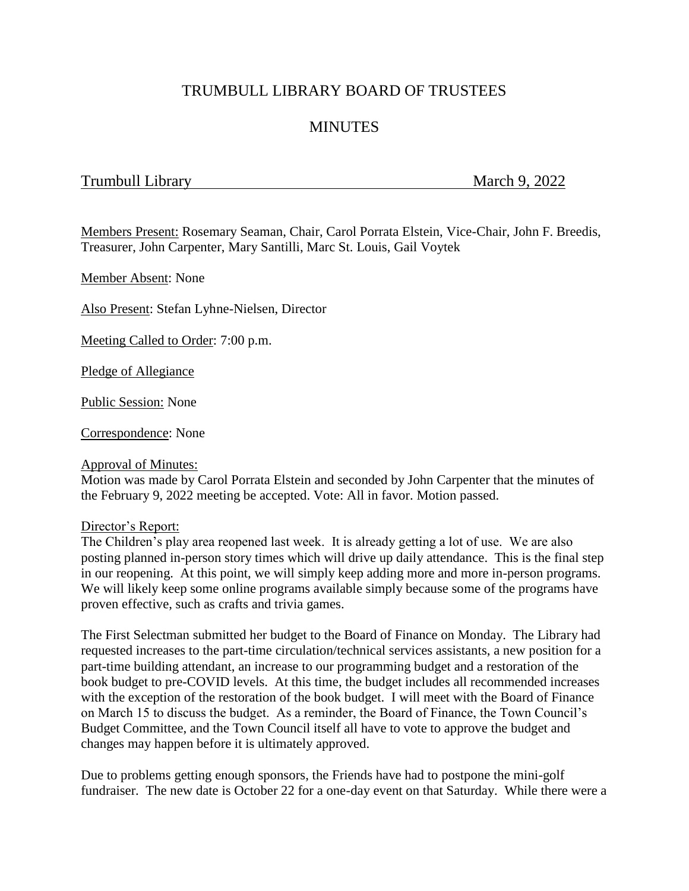# TRUMBULL LIBRARY BOARD OF TRUSTEES

# **MINUTES**

## Trumbull Library March 9, 2022

Members Present: Rosemary Seaman, Chair, Carol Porrata Elstein, Vice-Chair, John F. Breedis, Treasurer, John Carpenter, Mary Santilli, Marc St. Louis, Gail Voytek

Member Absent: None

Also Present: Stefan Lyhne-Nielsen, Director

Meeting Called to Order: 7:00 p.m.

Pledge of Allegiance

Public Session: None

Correspondence: None

#### Approval of Minutes:

Motion was made by Carol Porrata Elstein and seconded by John Carpenter that the minutes of the February 9, 2022 meeting be accepted. Vote: All in favor. Motion passed.

#### Director's Report:

The Children's play area reopened last week. It is already getting a lot of use. We are also posting planned in-person story times which will drive up daily attendance. This is the final step in our reopening. At this point, we will simply keep adding more and more in-person programs. We will likely keep some online programs available simply because some of the programs have proven effective, such as crafts and trivia games.

The First Selectman submitted her budget to the Board of Finance on Monday. The Library had requested increases to the part-time circulation/technical services assistants, a new position for a part-time building attendant, an increase to our programming budget and a restoration of the book budget to pre-COVID levels. At this time, the budget includes all recommended increases with the exception of the restoration of the book budget. I will meet with the Board of Finance on March 15 to discuss the budget. As a reminder, the Board of Finance, the Town Council's Budget Committee, and the Town Council itself all have to vote to approve the budget and changes may happen before it is ultimately approved.

Due to problems getting enough sponsors, the Friends have had to postpone the mini-golf fundraiser. The new date is October 22 for a one-day event on that Saturday. While there were a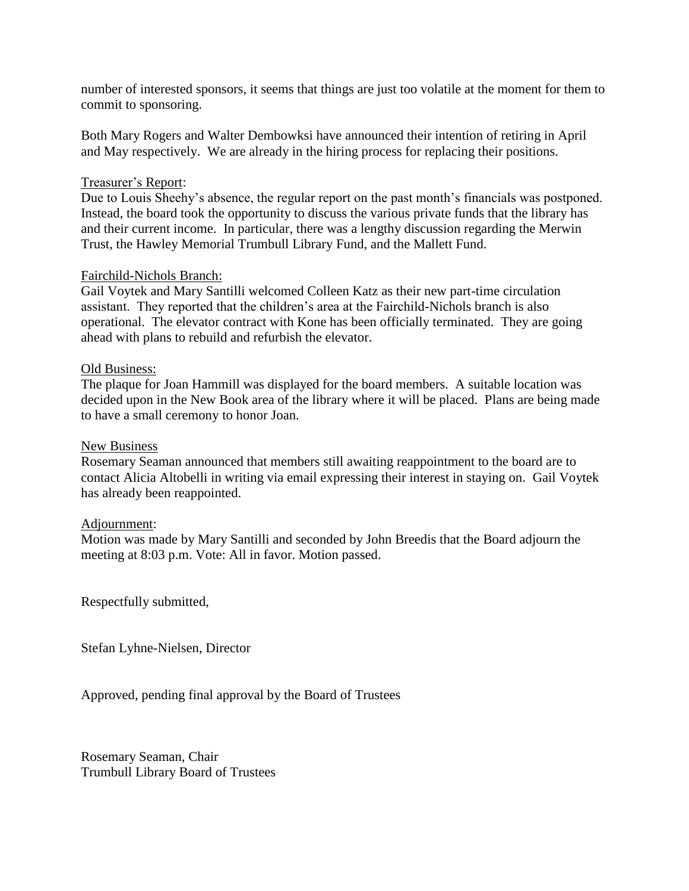number of interested sponsors, it seems that things are just too volatile at the moment for them to commit to sponsoring.

Both Mary Rogers and Walter Dembowksi have announced their intention of retiring in April and May respectively. We are already in the hiring process for replacing their positions.

## Treasurer's Report:

Due to Louis Sheehy's absence, the regular report on the past month's financials was postponed. Instead, the board took the opportunity to discuss the various private funds that the library has and their current income. In particular, there was a lengthy discussion regarding the Merwin Trust, the Hawley Memorial Trumbull Library Fund, and the Mallett Fund.

## Fairchild-Nichols Branch:

Gail Voytek and Mary Santilli welcomed Colleen Katz as their new part-time circulation assistant. They reported that the children's area at the Fairchild-Nichols branch is also operational. The elevator contract with Kone has been officially terminated. They are going ahead with plans to rebuild and refurbish the elevator.

## Old Business:

The plaque for Joan Hammill was displayed for the board members. A suitable location was decided upon in the New Book area of the library where it will be placed. Plans are being made to have a small ceremony to honor Joan.

### New Business

Rosemary Seaman announced that members still awaiting reappointment to the board are to contact Alicia Altobelli in writing via email expressing their interest in staying on. Gail Voytek has already been reappointed.

#### Adjournment:

Motion was made by Mary Santilli and seconded by John Breedis that the Board adjourn the meeting at 8:03 p.m. Vote: All in favor. Motion passed.

Respectfully submitted,

Stefan Lyhne-Nielsen, Director

Approved, pending final approval by the Board of Trustees

Rosemary Seaman, Chair Trumbull Library Board of Trustees